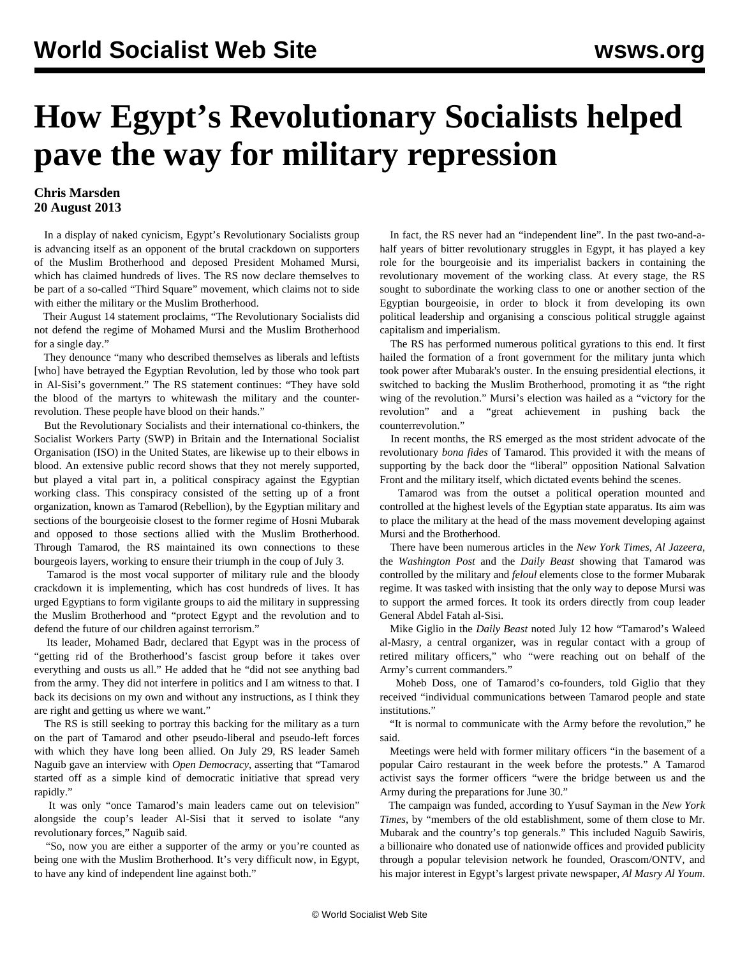## **How Egypt's Revolutionary Socialists helped pave the way for military repression**

## **Chris Marsden 20 August 2013**

 In a display of naked cynicism, Egypt's Revolutionary Socialists group is advancing itself as an opponent of the brutal crackdown on supporters of the Muslim Brotherhood and deposed President Mohamed Mursi, which has claimed hundreds of lives. The RS now declare themselves to be part of a so-called "Third Square" movement, which claims not to side with either the military or the Muslim Brotherhood.

 Their August 14 statement proclaims, "The Revolutionary Socialists did not defend the regime of Mohamed Mursi and the Muslim Brotherhood for a single day."

 They denounce "many who described themselves as liberals and leftists [who] have betrayed the Egyptian Revolution, led by those who took part in Al-Sisi's government." The RS statement continues: "They have sold the blood of the martyrs to whitewash the military and the counterrevolution. These people have blood on their hands."

 But the Revolutionary Socialists and their international co-thinkers, the Socialist Workers Party (SWP) in Britain and the International Socialist Organisation (ISO) in the United States, are likewise up to their elbows in blood. An extensive public record shows that they not merely supported, but played a vital part in, a political conspiracy against the Egyptian working class. This conspiracy consisted of the setting up of a front organization, known as Tamarod (Rebellion), by the Egyptian military and sections of the bourgeoisie closest to the former regime of Hosni Mubarak and opposed to those sections allied with the Muslim Brotherhood. Through Tamarod, the RS maintained its own connections to these bourgeois layers, working to ensure their triumph in the coup of July 3.

 Tamarod is the most vocal supporter of military rule and the bloody crackdown it is implementing, which has cost hundreds of lives. It has urged Egyptians to form vigilante groups to aid the military in suppressing the Muslim Brotherhood and "protect Egypt and the revolution and to defend the future of our children against terrorism."

 Its leader, Mohamed Badr, declared that Egypt was in the process of "getting rid of the Brotherhood's fascist group before it takes over everything and ousts us all." He added that he "did not see anything bad from the army. They did not interfere in politics and I am witness to that. I back its decisions on my own and without any instructions, as I think they are right and getting us where we want."

 The RS is still seeking to portray this backing for the military as a turn on the part of Tamarod and other pseudo-liberal and pseudo-left forces with which they have long been allied. On July 29, RS leader Sameh Naguib gave an interview with *Open Democracy*, asserting that "Tamarod started off as a simple kind of democratic initiative that spread very rapidly."

 It was only "once Tamarod's main leaders came out on television" alongside the coup's leader Al-Sisi that it served to isolate "any revolutionary forces," Naguib said.

 "So, now you are either a supporter of the army or you're counted as being one with the Muslim Brotherhood. It's very difficult now, in Egypt, to have any kind of independent line against both."

 In fact, the RS never had an "independent line". In the past two-and-ahalf years of bitter revolutionary struggles in Egypt, it has played a key role for the bourgeoisie and its imperialist backers in containing the revolutionary movement of the working class. At every stage, the RS sought to subordinate the working class to one or another section of the Egyptian bourgeoisie, in order to block it from developing its own political leadership and organising a conscious political struggle against capitalism and imperialism.

 The RS has performed numerous political gyrations to this end. It first hailed the formation of a front government for the military junta which took power after Mubarak's ouster. In the ensuing presidential elections, it switched to backing the Muslim Brotherhood, promoting it as "the right wing of the revolution." Mursi's election was hailed as a "victory for the revolution" and a "great achievement in pushing back the counterrevolution."

 In recent months, the RS emerged as the most strident advocate of the revolutionary *bona fides* of Tamarod. This provided it with the means of supporting by the back door the "liberal" opposition National Salvation Front and the military itself, which dictated events behind the scenes.

 Tamarod was from the outset a political operation mounted and controlled at the highest levels of the Egyptian state apparatus. Its aim was to place the military at the head of the mass movement developing against Mursi and the Brotherhood.

 There have been numerous articles in the *New York Times*, *Al Jazeera*, the *Washington Post* and the *Daily Beast* showing that Tamarod was controlled by the military and *feloul* elements close to the former Mubarak regime. It was tasked with insisting that the only way to depose Mursi was to support the armed forces. It took its orders directly from coup leader General Abdel Fatah al-Sisi.

 Mike Giglio in the *Daily Beast* noted July 12 how "Tamarod's Waleed al-Masry, a central organizer, was in regular contact with a group of retired military officers," who "were reaching out on behalf of the Army's current commanders."

 Moheb Doss, one of Tamarod's co-founders, told Giglio that they received "individual communications between Tamarod people and state institutions."

 "It is normal to communicate with the Army before the revolution," he said.

 Meetings were held with former military officers "in the basement of a popular Cairo restaurant in the week before the protests." A Tamarod activist says the former officers "were the bridge between us and the Army during the preparations for June 30."

 The campaign was funded, according to Yusuf Sayman in the *New York Times*, by "members of the old establishment, some of them close to Mr. Mubarak and the country's top generals." This included Naguib Sawiris, a billionaire who donated use of nationwide offices and provided publicity through a popular television network he founded, Orascom/ONTV, and his major interest in Egypt's largest private newspaper, *Al Masry Al Youm*.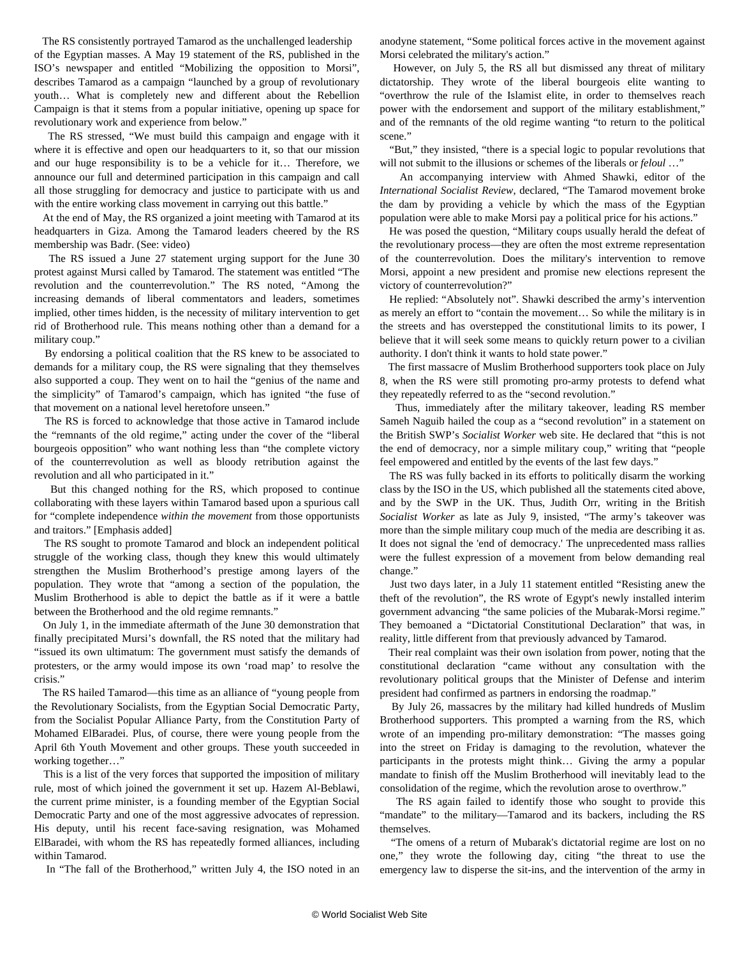The RS consistently portrayed Tamarod as the unchallenged leadership of the Egyptian masses. A May 19 statement of the RS, published in the ISO's newspaper and entitled "Mobilizing the opposition to Morsi", describes Tamarod as a campaign "launched by a group of revolutionary youth… What is completely new and different about the Rebellion Campaign is that it stems from a popular initiative, opening up space for revolutionary work and experience from below."

 The RS stressed, "We must build this campaign and engage with it where it is effective and open our headquarters to it, so that our mission and our huge responsibility is to be a vehicle for it… Therefore, we announce our full and determined participation in this campaign and call all those struggling for democracy and justice to participate with us and with the entire working class movement in carrying out this battle."

 At the end of May, the RS organized a joint meeting with Tamarod at its headquarters in Giza. Among the Tamarod leaders cheered by the RS membership was Badr. (See: [video](http://www.youtube.com/watch?v=oracK-NDPOk))

 The RS issued a June 27 statement urging support for the June 30 protest against Mursi called by Tamarod. The statement was entitled "The revolution and the counterrevolution." The RS noted, "Among the increasing demands of liberal commentators and leaders, sometimes implied, other times hidden, is the necessity of military intervention to get rid of Brotherhood rule. This means nothing other than a demand for a military coup."

 By endorsing a political coalition that the RS knew to be associated to demands for a military coup, the RS were signaling that they themselves also supported a coup. They went on to hail the "genius of the name and the simplicity" of Tamarod's campaign, which has ignited "the fuse of that movement on a national level heretofore unseen."

 The RS is forced to acknowledge that those active in Tamarod include the "remnants of the old regime," acting under the cover of the "liberal bourgeois opposition" who want nothing less than "the complete victory of the counterrevolution as well as bloody retribution against the revolution and all who participated in it."

 But this changed nothing for the RS, which proposed to continue collaborating with these layers within Tamarod based upon a spurious call for "complete independence *within the movement* from those opportunists and traitors." [Emphasis added]

 The RS sought to promote Tamarod and block an independent political struggle of the working class, though they knew this would ultimately strengthen the Muslim Brotherhood's prestige among layers of the population. They wrote that "among a section of the population, the Muslim Brotherhood is able to depict the battle as if it were a battle between the Brotherhood and the old regime remnants."

 On July 1, in the immediate aftermath of the June 30 demonstration that finally precipitated Mursi's downfall, the RS noted that the military had "issued its own ultimatum: The government must satisfy the demands of protesters, or the army would impose its own 'road map' to resolve the crisis."

 The RS hailed Tamarod—this time as an alliance of "young people from the Revolutionary Socialists, from the Egyptian Social Democratic Party, from the Socialist Popular Alliance Party, from the Constitution Party of Mohamed ElBaradei. Plus, of course, there were young people from the April 6th Youth Movement and other groups. These youth succeeded in working together…"

 This is a list of the very forces that supported the imposition of military rule, most of which joined the government it set up. Hazem Al-Beblawi, the current prime minister, is a founding member of the Egyptian Social Democratic Party and one of the most aggressive advocates of repression. His deputy, until his recent face-saving resignation, was Mohamed ElBaradei, with whom the RS has repeatedly formed alliances, including within Tamarod.

In "The fall of the Brotherhood," written July 4, the ISO noted in an

anodyne statement, "Some political forces active in the movement against Morsi celebrated the military's action."

 However, on July 5, the RS all but dismissed any threat of military dictatorship. They wrote of the liberal bourgeois elite wanting to "overthrow the rule of the Islamist elite, in order to themselves reach power with the endorsement and support of the military establishment," and of the remnants of the old regime wanting "to return to the political scene."

 "But," they insisted, "there is a special logic to popular revolutions that will not submit to the illusions or schemes of the liberals or *feloul* …"

 An accompanying interview with Ahmed Shawki, editor of the *International Socialist Review*, declared, "The Tamarod movement broke the dam by providing a vehicle by which the mass of the Egyptian population were able to make Morsi pay a political price for his actions."

 He was posed the question, "Military coups usually herald the defeat of the revolutionary process—they are often the most extreme representation of the counterrevolution. Does the military's intervention to remove Morsi, appoint a new president and promise new elections represent the victory of counterrevolution?"

 He replied: "Absolutely not". Shawki described the army's intervention as merely an effort to "contain the movement… So while the military is in the streets and has overstepped the constitutional limits to its power, I believe that it will seek some means to quickly return power to a civilian authority. I don't think it wants to hold state power."

 The first massacre of Muslim Brotherhood supporters took place on July 8, when the RS were still promoting pro-army protests to defend what they repeatedly referred to as the "second revolution."

 Thus, immediately after the military takeover, leading RS member Sameh Naguib hailed the coup as a "second revolution" in a statement on the British SWP's *Socialist Worker* web site. He declared that "this is not the end of democracy, nor a simple military coup," writing that "people feel empowered and entitled by the events of the last few days."

 The RS was fully backed in its efforts to politically disarm the working class by the ISO in the US, which published all the statements cited above, and by the SWP in the UK. Thus, Judith Orr, writing in the British *Socialist Worker* as late as July 9, insisted, "The army's takeover was more than the simple military coup much of the media are describing it as. It does not signal the 'end of democracy.' The unprecedented mass rallies were the fullest expression of a movement from below demanding real change."

 Just two days later, in a July 11 statement entitled "Resisting anew the theft of the revolution", the RS wrote of Egypt's newly installed interim government advancing "the same policies of the Mubarak-Morsi regime." They bemoaned a "Dictatorial Constitutional Declaration" that was, in reality, little different from that previously advanced by Tamarod.

 Their real complaint was their own isolation from power, noting that the constitutional declaration "came without any consultation with the revolutionary political groups that the Minister of Defense and interim president had confirmed as partners in endorsing the roadmap."

 By July 26, massacres by the military had killed hundreds of Muslim Brotherhood supporters. This prompted a warning from the RS, which wrote of an impending pro-military demonstration: "The masses going into the street on Friday is damaging to the revolution, whatever the participants in the protests might think… Giving the army a popular mandate to finish off the Muslim Brotherhood will inevitably lead to the consolidation of the regime, which the revolution arose to overthrow."

 The RS again failed to identify those who sought to provide this "mandate" to the military-Tamarod and its backers, including the RS themselves.

 "The omens of a return of Mubarak's dictatorial regime are lost on no one," they wrote the following day, citing "the threat to use the emergency law to disperse the sit-ins, and the intervention of the army in